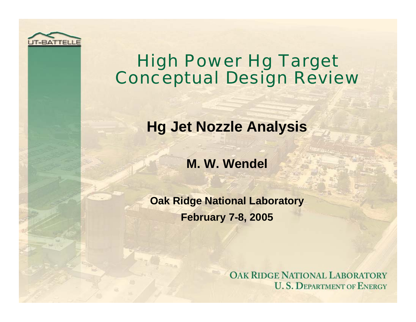

# High Power Hg Target Conceptual Design Review

## **Hg Jet Nozzle Analysis**

### **M. W. Wendel**

**Oak Ridge National Laboratory February 7-8, 2005**

> **OAK RIDGE NATIONAL LABORATORY U.S. DEPARTMENT OF ENERGY**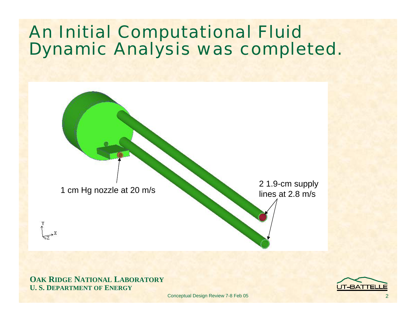# An Initial Computational Fluid Dynamic Analysis was completed.

1 cm Hg nozzle at 20 m/s 2 1.9-cm supply lines at 2.8 m/s

**OAK RIDGE NATIONAL LABORATORY U. S. DEPARTMENT OF ENERGY**

 $\rightarrow$  X

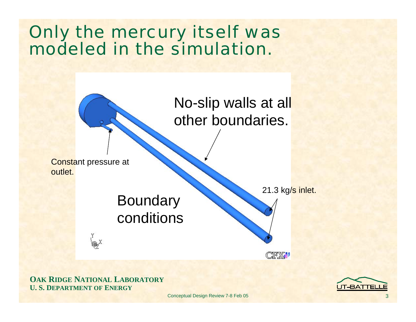# Only the mercury itself was modeled in the simulation.



**OAK RIDGE NATIONAL LABORATORY U. S. DEPARTMENT OF ENERGY**

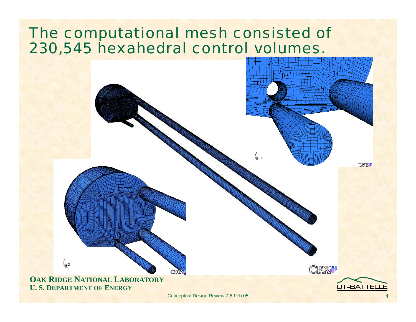## The computational mesh consisted of 230,545 hexahedral control volumes.

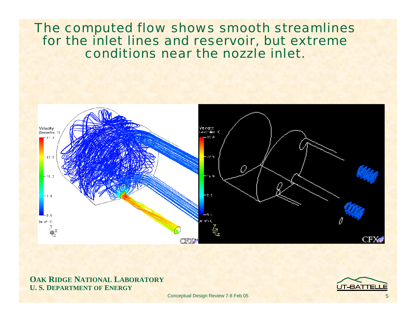### The computed flow shows smooth streamlines for the inlet lines and reservoir, but extreme conditions near the nozzle inlet.



#### **OAK RIDGE NATIONAL LABORATORY U. S. DEPARTMENT OF ENERGY**

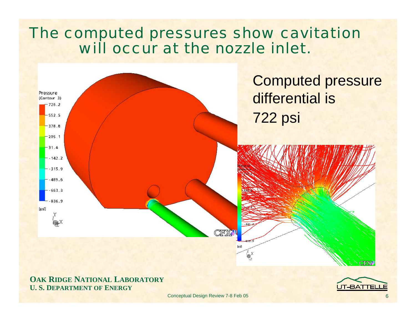## The computed pressures show cavitation will occur at the nozzle inlet.



#### **OAK RIDGE NATIONAL LABORATORY U. S. DEPARTMENT OF ENERGY**

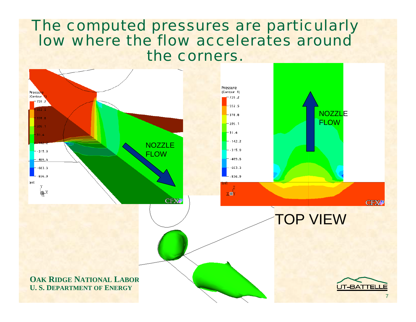### The computed pressures are particularly low where the flow accelerates around the corners.

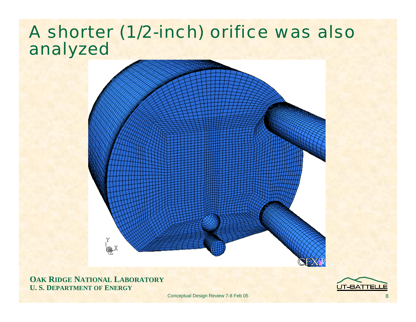# A shorter (1/2-inch) orifice was also analyzed



**OAK RIDGE NATIONAL LABORATORY U. S. DEPARTMENT OF ENERGY**

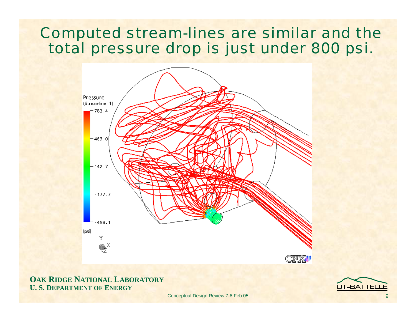## Computed stream-lines are similar and the total pressure drop is just under 800 psi.



#### **OAK RIDGE NATIONAL LABORATORY U. S. DEPARTMENT OF ENERGY**

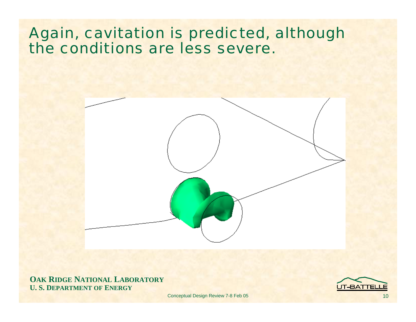## Again, cavitation is predicted, although the conditions are less severe.



**OAK RIDGE NATIONAL LABORATORY U. S. DEPARTMENT OF ENERGY**

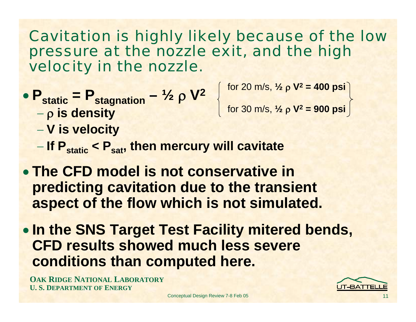## Cavitation is highly likely because of the low pressure at the nozzle exit, and the high velocity in the nozzle.

• P<sub>static</sub> = P<sub>stagnation</sub> - 
$$
1/2
$$
 ρ V<sup>2</sup>

for 20 m/s, **½** ρ **V2 = 400 psi**

ρ **is density**

for 30 m/s, **½** ρ **V2 = 900 psi**

- **V is velocity**
- **If Pstatic < Psat, then mercury will cavitate**
- **The CFD model is not conservative in predicting cavitation due to the transient aspect of the flow which is not simulated.**
- **In the SNS Target Test Facility mitered bends, CFD results showed much less severe conditions than computed here.**

**OAK RIDGE NATIONAL LABORATORY U. S. DEPARTMENT OF ENERGY**

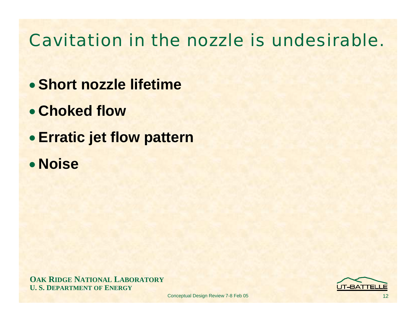# Cavitation in the nozzle is undesirable.

- **Short nozzle lifetime**
- **Choked flow**
- **Erratic jet flow pattern**
- **Noise**

**OAK RIDGE NATIONAL LABORATORY U. S. DEPARTMENT OF ENERGY**

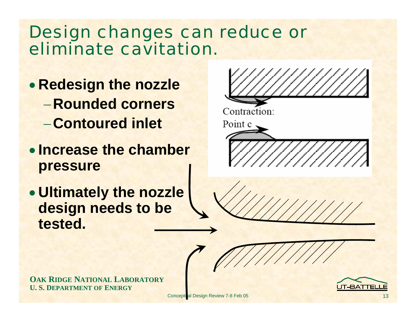## Design changes can reduce or eliminate cavitation.

- **Redesign the nozzle** −**Rounded corners**<sup>−</sup>**Contoured inlet**
- **Increase the chamber pressure**
- **Ultimately the nozzle design needs to be tested.**



**OAK RIDGE NATIONAL LABORATORY U. S. DEPARTMENT OF ENERGY**